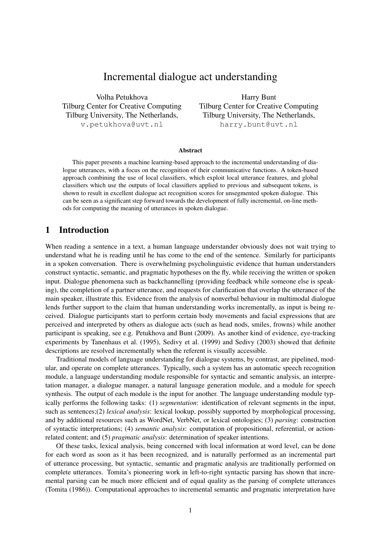# Incremental dialogue act understanding

Volha Petukhova Tilburg Center for Creative Computing Tilburg University, The Netherlands, v.petukhova@uvt.nl

Harry Bunt Tilburg Center for Creative Computing Tilburg University, The Netherlands, harry.bunt@uvt.nl

#### Abstract

This paper presents a machine learning-based approach to the incremental understanding of dialogue utterances, with a focus on the recognition of their communicative functions. A token-based approach combining the use of local classifiers, which exploit local utterance features, and global classifiers which use the outputs of local classifiers applied to previous and subsequent tokens, is shown to result in excellent dialogue act recognition scores for unsegmented spoken dialogue. This can be seen as a significant step forward towards the development of fully incremental, on-line methods for computing the meaning of utterances in spoken dialogue.

### 1 Introduction

When reading a sentence in a text, a human language understander obviously does not wait trying to understand what he is reading until he has come to the end of the sentence. Similarly for participants in a spoken conversation. There is overwhelming psycholinguistic evidence that human understanders construct syntactic, semantic, and pragmatic hypotheses on the fly, while receiving the written or spoken input. Dialogue phenomena such as backchannelling (providing feedback while someone else is speaking), the completion of a partner utterance, and requests for clarification that overlap the utterance of the main speaker, illustrate this. Evidence from the analysis of nonverbal behaviour in multimodal dialogue lends further support to the claim that human understanding works incrementally, as input is being received. Dialogue participants start to perform certain body movements and facial expressions that are perceived and interpreted by others as dialogue acts (such as head nods, smiles, frowns) while another participant is speaking, see e.g. Petukhova and Bunt (2009). As another kind of evidence, eye-tracking experiments by Tanenhaus et al. (1995), Sedivy et al. (1999) and Sedivy (2003) showed that definite descriptions are resolved incrementally when the referent is visually accessible.

Traditional models of language understanding for dialogue systems, by contrast, are pipelined, modular, and operate on complete utterances. Typically, such a system has an automatic speech recognition module, a language understanding module responsible for syntactic and semantic analysis, an interpretation manager, a dialogue manager, a natural language generation module, and a module for speech synthesis. The output of each module is the input for another. The language understanding module typically performs the following tasks: (1) *segmentation*: identification of relevant segments in the input, such as sentences;(2) *lexical analysis*: lexical lookup, possibly supported by morphological processing, and by additional resources such as WordNet, VerbNet, or lexical ontologies; (3) *parsing*: construction of syntactic interpretations; (4) *semantic analysis*: computation of propositional, referential, or actionrelated content; and (5) *pragmatic analysis*: determination of speaker intentions.

Of these tasks, lexical analysis, being concerned with local information at word level, can be done for each word as soon as it has been recognized, and is naturally performed as an incremental part of utterance processing, but syntactic, semantic and pragmatic analysis are traditionally performed on complete utterances. Tomita's pioneering work in left-to-right syntactic parsing has shown that incremental parsing can be much more efficient and of equal quality as the parsing of complete utterances (Tomita (1986)). Computational approaches to incremental semantic and pragmatic interpretation have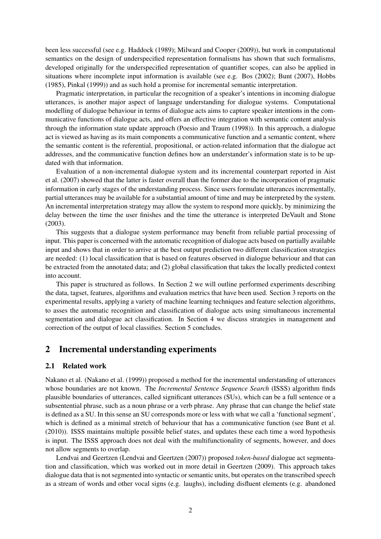been less successful (see e.g. Haddock (1989); Milward and Cooper (2009)), but work in computational semantics on the design of underspecified representation formalisms has shown that such formalisms, developed originally for the underspecified representation of quantifier scopes, can also be applied in situations where incomplete input information is available (see e.g. Bos (2002); Bunt (2007), Hobbs (1985), Pinkal (1999)) and as such hold a promise for incremental semantic interpretation.

Pragmatic interpretation, in particular the recognition of a speaker's intentions in incoming dialogue utterances, is another major aspect of language understanding for dialogue systems. Computational modelling of dialogue behaviour in terms of dialogue acts aims to capture speaker intentions in the communicative functions of dialogue acts, and offers an effective integration with semantic content analysis through the information state update approach (Poesio and Traum (1998)). In this approach, a dialogue act is viewed as having as its main components a communicative function and a semantic content, where the semantic content is the referential, propositional, or action-related information that the dialogue act addresses, and the communicative function defines how an understander's information state is to be updated with that information.

Evaluation of a non-incremental dialogue system and its incremental counterpart reported in Aist et al. (2007) showed that the latter is faster overall than the former due to the incorporation of pragmatic information in early stages of the understanding process. Since users formulate utterances incrementally, partial utterances may be available for a substantial amount of time and may be interpreted by the system. An incremental interpretation strategy may allow the system to respond more quickly, by minimizing the delay between the time the user finishes and the time the utterance is interpreted DeVault and Stone (2003).

This suggests that a dialogue system performance may benefit from reliable partial processing of input. This paper is concerned with the automatic recognition of dialogue acts based on partially available input and shows that in order to arrive at the best output prediction two different classification strategies are needed: (1) local classification that is based on features observed in dialogue behaviour and that can be extracted from the annotated data; and (2) global classification that takes the locally predicted context into account.

This paper is structured as follows. In Section 2 we will outline performed experiments describing the data, tagset, features, algorithms and evaluation metrics that have been used. Section 3 reports on the experimental results, applying a variety of machine learning techniques and feature selection algorithms, to asses the automatic recognition and classification of dialogue acts using simultaneous incremental segmentation and dialogue act classification. In Section 4 we discuss strategies in management and correction of the output of local classifies. Section 5 concludes.

## 2 Incremental understanding experiments

#### 2.1 Related work

Nakano et al. (Nakano et al. (1999)) proposed a method for the incremental understanding of utterances whose boundaries are not known. The *Incremental Sentence Sequence Search* (ISSS) algorithm finds plausible boundaries of utterances, called significant utterances (SUs), which can be a full sentence or a subsentential phrase, such as a noun phrase or a verb phrase. Any phrase that can change the belief state is defined as a SU. In this sense an SU corresponds more or less with what we call a 'functional segment', which is defined as a minimal stretch of behaviour that has a communicative function (see Bunt et al. (2010)). ISSS maintains multiple possible belief states, and updates these each time a word hypothesis is input. The ISSS approach does not deal with the multifunctionality of segments, however, and does not allow segments to overlap.

Lendvai and Geertzen (Lendvai and Geertzen (2007)) proposed *token-based* dialogue act segmentation and classification, which was worked out in more detail in Geertzen (2009). This approach takes dialogue data that is not segmented into syntactic or semantic units, but operates on the transcribed speech as a stream of words and other vocal signs (e.g. laughs), including disfluent elements (e.g. abandoned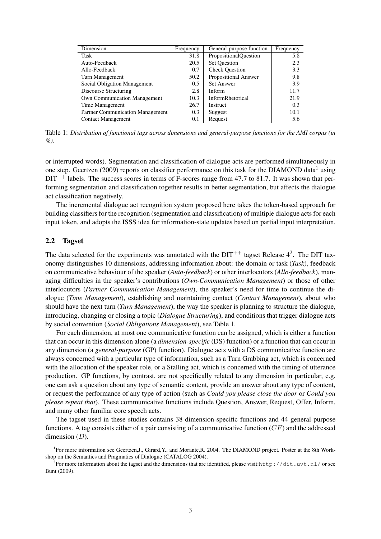| Dimension                               | Frequency | General-purpose function     | Frequency |
|-----------------------------------------|-----------|------------------------------|-----------|
| Task                                    | 31.8      | <b>PropositionalQuestion</b> | 5.8       |
| Auto-Feedback                           | 20.5      | <b>Set Question</b>          | 2.3       |
| Allo-Feedback                           | 0.7       | <b>Check Question</b>        | 3.3       |
| Turn Management                         | 50.2      | Propositional Answer         | 9.8       |
| Social Obligation Management            | 0.5       | <b>Set Answer</b>            | 3.9       |
| Discourse Structuring                   | 2.8       | Inform                       | 11.7      |
| <b>Own Communication Management</b>     | 10.3      | InformRhetorical             | 21.9      |
| Time Management                         | 26.7      | Instruct                     | 0.3       |
| <b>Partner Communication Management</b> | 0.3       | Suggest                      | 10.1      |
| <b>Contact Management</b>               | 0.1       | Request                      | 5.6       |

Table 1: *Distribution of functional tags across dimensions and general-purpose functions for the AMI corpus (in %).*

or interrupted words). Segmentation and classification of dialogue acts are performed simultaneously in one step. Geertzen (2009) reports on classifier performance on this task for the DIAMOND data<sup>1</sup> using  $DIT^{++}$  labels. The success scores in terms of F-scores range from 47.7 to 81.7. It was shown that performing segmentation and classification together results in better segmentation, but affects the dialogue act classification negatively.

The incremental dialogue act recognition system proposed here takes the token-based approach for building classifiers for the recognition (segmentation and classification) of multiple dialogue acts for each input token, and adopts the ISSS idea for information-state updates based on partial input interpretation.

### 2.2 Tagset

The data selected for the experiments was annotated with the  $DIT^{++}$  tagset Release 4<sup>2</sup>. The DIT taxonomy distinguishes 10 dimensions, addressing information about: the domain or task (*Task*), feedback on communicative behaviour of the speaker (*Auto-feedback*) or other interlocutors (*Allo-feedback*), managing difficulties in the speaker's contributions (*Own-Communication Management*) or those of other interlocutors (*Partner Communication Management*), the speaker's need for time to continue the dialogue (*Time Management*), establishing and maintaining contact (*Contact Management*), about who should have the next turn (*Turn Management*), the way the speaker is planning to structure the dialogue, introducing, changing or closing a topic (*Dialogue Structuring*), and conditions that trigger dialogue acts by social convention (*Social Obligations Management*), see Table 1.

For each dimension, at most one communicative function can be assigned, which is either a function that can occur in this dimension alone (a *dimension-specific* (DS) function) or a function that can occur in any dimension (a *general-purpose* (GP) function). Dialogue acts with a DS communicative function are always concerned with a particular type of information, such as a Turn Grabbing act, which is concerned with the allocation of the speaker role, or a Stalling act, which is concerned with the timing of utterance production. GP functions, by contrast, are not specifically related to any dimension in particular, e.g. one can ask a question about any type of semantic content, provide an answer about any type of content, or request the performance of any type of action (such as *Could you please close the door* or *Could you please repeat that*). These communicative functions include Question, Answer, Request, Offer, Inform, and many other familiar core speech acts.

The tagset used in these studies contains 38 dimension-specific functions and 44 general-purpose functions. A tag consists either of a pair consisting of a communicative function  $(CF)$  and the addressed dimension  $(D)$ .

<sup>&</sup>lt;sup>1</sup>For more information see Geertzen,J., Girard,Y., and Morante,R. 2004. The DIAMOND project. Poster at the 8th Workshop on the Semantics and Pragmatics of Dialogue (CATALOG 2004).

<sup>&</sup>lt;sup>2</sup> For more information about the tagset and the dimensions that are identified, please visit:http://dit.uvt.nl/ or see Bunt (2009).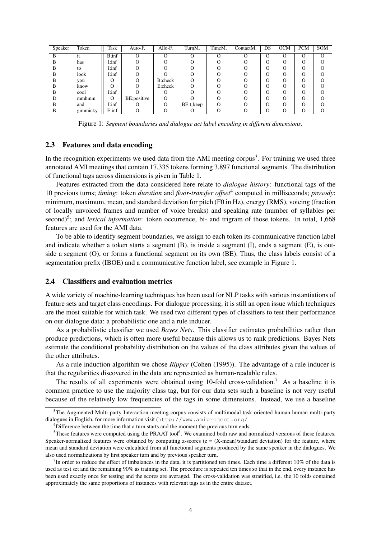| Speaker | Token    | Task   | Auto-F.     | Allo-F. | TurnM.    | TimeM. | ContactM. | DS | <b>OCM</b> | <b>PCM</b> | SOM |
|---------|----------|--------|-------------|---------|-----------|--------|-----------|----|------------|------------|-----|
| B       | it       | B:inf  | $\Omega$    |         | O         | Ω      | $\lq$     | O  | O          | O          | O   |
| B       | has      | I:inf  |             |         |           |        |           | O  | О          | ( )        | O   |
| B       | to       | I:inf  |             |         |           |        |           | О  | O          |            | റ   |
| B       | look     | I:inf  |             |         |           |        |           | О  | O          |            |     |
| B       | you      |        | $\Omega$    | B:check |           |        |           | Ω  | Ω          |            |     |
| B       | know     |        | $\Omega$    | E:check |           |        |           | Ω  | Ω          | ( )        | ∩   |
| B       | cool     | I:inf  |             |         |           |        |           | О  | Ω          | ∩          | ∩   |
| D       | mmhmm    | O      | BE:positive |         |           |        |           | Ω  | റ          | ∩          | ∩   |
| B       | and      | I:inf  |             |         | BE:t_keep |        |           | О  | O          |            |     |
| B       | gimmicky | E: inf | $\Omega$    |         |           |        |           | Ω  | Ω          |            |     |

Figure 1: *Segment boundaries and dialogue act label encoding in different dimensions.*

### 2.3 Features and data encoding

In the recognition experiments we used data from the AMI meeting corpus<sup>3</sup>. For training we used three annotated AMI meetings that contain 17,335 tokens forming 3,897 functional segments. The distribution of functional tags across dimensions is given in Table 1.

Features extracted from the data considered here relate to *dialogue history*: functional tags of the 10 previous turns; *timing*: token *duration* and *floor-transfer offset*<sup>4</sup> computed in milliseconds; *prosody*: minimum, maximum, mean, and standard deviation for pitch (F0 in Hz), energy (RMS), voicing (fraction of locally unvoiced frames and number of voice breaks) and speaking rate (number of syllables per second)<sup>5</sup>; and *lexical information*: token occurrence, bi- and trigram of those tokens. In total, 1,668 features are used for the AMI data.

To be able to identify segment boundaries, we assign to each token its communicative function label and indicate whether a token starts a segment (B), is inside a segment (I), ends a segment (E), is outside a segment (O), or forms a functional segment on its own (BE). Thus, the class labels consist of a segmentation prefix (IBOE) and a communicative function label, see example in Figure 1.

#### 2.4 Classifiers and evaluation metrics

A wide variety of machine-learning techniques has been used for NLP tasks with various instantiations of feature sets and target class encodings. For dialogue processing, it is still an open issue which techniques are the most suitable for which task. We used two different types of classifiers to test their performance on our dialogue data: a probabilistic one and a rule inducer.

As a probabilistic classifier we used *Bayes Nets*. This classifier estimates probabilities rather than produce predictions, which is often more useful because this allows us to rank predictions. Bayes Nets estimate the conditional probability distribution on the values of the class attributes given the values of the other attributes.

As a rule induction algorithm we chose *Ripper* (Cohen (1995)). The advantage of a rule inducer is that the regularities discovered in the data are represented as human-readable rules.

The results of all experiments were obtained using 10-fold cross-validation.<sup>7</sup> As a baseline it is common practice to use the majority class tag, but for our data sets such a baseline is not very useful because of the relatively low frequencies of the tags in some dimensions. Instead, we use a baseline

<sup>&</sup>lt;sup>3</sup>The Augmented Multi-party Interaction meeting corpus consists of multimodal task-oriented human-human multi-party dialogues in English, for more information visit (http://www.amiproject.org/

<sup>&</sup>lt;sup>4</sup>Difference between the time that a turn starts and the moment the previous turn ends.

 $5$ These features were computed using the PRAAT tool $6$ . We examined both raw and normalized versions of these features. Speaker-normalized features were obtained by computing z-scores  $(z = (X-mean)/standard deviation)$  for the feature, where mean and standard deviation were calculated from all functional segments produced by the same speaker in the dialogues. We also used normalizations by first speaker turn and by previous speaker turn.

 $^{7}$ In order to reduce the effect of imbalances in the data, it is partitioned ten times. Each time a different 10% of the data is used as test set and the remaining 90% as training set. The procedure is repeated ten times so that in the end, every instance has been used exactly once for testing and the scores are averaged. The cross-validation was stratified, i.e. the 10 folds contained approximately the same proportions of instances with relevant tags as in the entire dataset.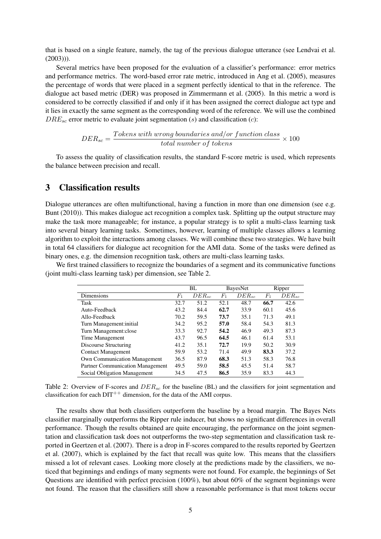that is based on a single feature, namely, the tag of the previous dialogue utterance (see Lendvai et al.  $(2003))$ .

Several metrics have been proposed for the evaluation of a classifier's performance: error metrics and performance metrics. The word-based error rate metric, introduced in Ang et al. (2005), measures the percentage of words that were placed in a segment perfectly identical to that in the reference. The dialogue act based metric (DER) was proposed in Zimmermann et al. (2005). In this metric a word is considered to be correctly classified if and only if it has been assigned the correct dialogue act type and it lies in exactly the same segment as the corresponding word of the reference. We will use the combined  $DRE_{sc}$  error metric to evaluate joint segmentation (s) and classification (c):

$$
DER_{sc} = \frac{Tokens\ with\ wrong\ boundaries\ and/or\ function\ class}{total\ number\ of\ tokens} \times 100
$$

To assess the quality of classification results, the standard F-score metric is used, which represents the balance between precision and recall.

### 3 Classification results

Dialogue utterances are often multifunctional, having a function in more than one dimension (see e.g. Bunt (2010)). This makes dialogue act recognition a complex task. Splitting up the output structure may make the task more manageable; for instance, a popular strategy is to split a multi-class learning task into several binary learning tasks. Sometimes, however, learning of multiple classes allows a learning algorithm to exploit the interactions among classes. We will combine these two strategies. We have built in total 64 classifiers for dialogue act recognition for the AMI data. Some of the tasks were defined as binary ones, e.g. the dimension recognition task, others are multi-class learning tasks.

We first trained classifiers to recognize the boundaries of a segment and its communicative functions (joint multi-class learning task) per dimension, see Table 2.

|                                         | BL          |            | <b>BayesNet</b> |            |         | Ripper     |
|-----------------------------------------|-------------|------------|-----------------|------------|---------|------------|
| Dimensions                              | $F_{\rm 1}$ | $DER_{sc}$ | $\mathbb{F}_1$  | $DER_{sc}$ | $F_{1}$ | $DER_{sc}$ |
| Task                                    | 32.7        | 51.2       | 52.1            | 48.7       | 66.7    | 42.6       |
| Auto-Feedback                           | 43.2        | 84.4       | 62.7            | 33.9       | 60.1    | 45.6       |
| Allo-Feedback                           | 70.2        | 59.5       | 73.7            | 35.1       | 71.3    | 49.1       |
| Turn Management: initial                | 34.2        | 95.2       | 57.0            | 58.4       | 54.3    | 81.3       |
| Turn Management: close                  | 33.3        | 92.7       | 54.2            | 46.9       | 49.3    | 87.3       |
| Time Management                         | 43.7        | 96.5       | 64.5            | 46.1       | 61.4    | 53.1       |
| Discourse Structuring                   | 41.2        | 35.1       | 72.7            | 19.9       | 50.2    | 30.9       |
| <b>Contact Management</b>               | 59.9        | 53.2       | 71.4            | 49.9       | 83.3    | 37.2       |
| <b>Own Communication Management</b>     | 36.5        | 87.9       | 68.3            | 51.3       | 58.3    | 76.8       |
| <b>Partner Communication Management</b> | 49.5        | 59.0       | 58.5            | 45.5       | 51.4    | 58.7       |
| Social Obligation Management            | 34.5        | 47.5       | 86.5            | 35.9       | 83.3    | 44.3       |

Table 2: Overview of F-scores and  $DER_{sc}$  for the baseline (BL) and the classifiers for joint segmentation and classification for each  $DT$ <sup>++</sup> dimension, for the data of the AMI corpus.

The results show that both classifiers outperform the baseline by a broad margin. The Bayes Nets classifier marginally outperforms the Ripper rule inducer, but shows no significant differences in overall performance. Though the results obtained are quite encouraging, the performance on the joint segmentation and classification task does not outperforms the two-step segmentation and classification task reported in Geertzen et al. (2007). There is a drop in F-scores compared to the results reported by Geertzen et al. (2007), which is explained by the fact that recall was quite low. This means that the classifiers missed a lot of relevant cases. Looking more closely at the predictions made by the classifiers, we noticed that beginnings and endings of many segments were not found. For example, the beginnings of Set Questions are identified with perfect precision (100%), but about 60% of the segment beginnings were not found. The reason that the classifiers still show a reasonable performance is that most tokens occur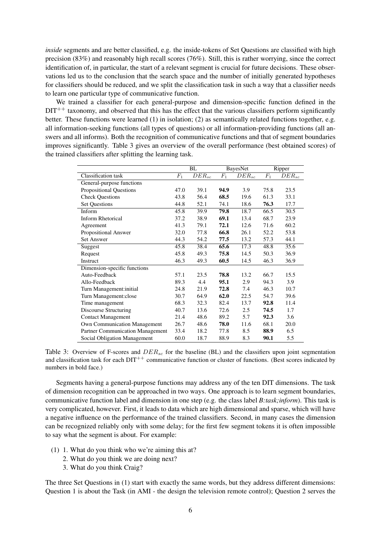*inside* segments and are better classified, e.g. the inside-tokens of Set Questions are classified with high precision (83%) and reasonably high recall scores (76%). Still, this is rather worrying, since the correct identification of, in particular, the start of a relevant segment is crucial for future decisions. These observations led us to the conclusion that the search space and the number of initially generated hypotheses for classifiers should be reduced, and we split the classification task in such a way that a classifier needs to learn one particular type of communicative function.

We trained a classifier for each general-purpose and dimension-specific function defined in the  $DT^{++}$  taxonomy, and observed that this has the effect that the various classifiers perform significantly better. These functions were learned (1) in isolation; (2) as semantically related functions together, e.g. all information-seeking functions (all types of questions) or all information-providing functions (all answers and all informs). Both the recognition of communicative functions and that of segment boundaries improves significantly. Table 3 gives an overview of the overall performance (best obtained scores) of the trained classifiers after splitting the learning task.

|                                     |                 | <b>BL</b>             | <b>BayesNet</b> |            |       | Ripper     |  |
|-------------------------------------|-----------------|-----------------------|-----------------|------------|-------|------------|--|
| Classification task                 | $\mathcal{F}_1$ | $\overline{D}ER_{sc}$ | $F_1$           | $DER_{sc}$ | $F_1$ | $DER_{sc}$ |  |
| General-purpose functions           |                 |                       |                 |            |       |            |  |
| <b>Propositional Questions</b>      | 47.0            | 39.1                  | 94.9            | 3.9        | 75.8  | 23.5       |  |
| <b>Check Questions</b>              | 43.8            | 56.4                  | 68.5            | 19.6       | 61.3  | 33.1       |  |
| <b>Set Questions</b>                | 44.8            | 52.1                  | 74.1            | 18.6       | 76.3  | 17.7       |  |
| Inform                              | 45.8            | 39.9                  | 79.8            | 18.7       | 66.5  | 30.5       |  |
| Inform Rhetorical                   | 37.2            | 38.9                  | 69.1            | 13.4       | 68.7  | 23.9       |  |
| Agreement                           | 41.3            | 79.1                  | 72.1            | 12.6       | 71.6  | 60.2       |  |
| Propositional Answer                | 32.0            | 77.8                  | 66.8            | 26.1       | 52.2  | 53.8       |  |
| <b>Set Answer</b>                   | 44.3            | 54.2                  | 77.5            | 13.2       | 57.3  | 44.1       |  |
| Suggest                             | 45.8            | 38.4                  | 65.6            | 17.3       | 48.8  | 35.6       |  |
| Request                             | 45.8            | 49.3                  | 75.8            | 14.5       | 50.3  | 36.9       |  |
| Instruct                            | 46.3            | 49.3                  | 60.5            | 14.5       | 46.3  | 36.9       |  |
| Dimension-specific functions        |                 |                       |                 |            |       |            |  |
| Auto-Feedback                       | 57.1            | 23.5                  | 78.8            | 13.2       | 66.7  | 15.5       |  |
| Allo-Feedback                       | 89.3            | 4.4                   | 95.1            | 2.9        | 94.3  | 3.9        |  |
| Turn Management: initial            | 24.8            | 21.9                  | 72.8            | 7.4        | 46.3  | 10.7       |  |
| Turn Management: close              | 30.7            | 64.9                  | 62.0            | 22.5       | 54.7  | 39.6       |  |
| Time management                     | 68.3            | 32.3                  | 82.4            | 13.7       | 92.8  | 11.4       |  |
| <b>Discourse Structuring</b>        | 40.7            | 13.6                  | 72.6            | 2.5        | 74.5  | 1.7        |  |
| <b>Contact Management</b>           | 21.4            | 48.6                  | 89.2            | 5.7        | 92.3  | 3.6        |  |
| <b>Own Communication Management</b> | 26.7            | 48.6                  | 78.0            | 11.6       | 68.1  | 20.0       |  |
| Partner Communication Management    | 33.4            | 18.2                  | 77.8            | 8.5        | 88.9  | 6.5        |  |
| Social Obligation Management        | 60.0            | 18.7                  | 88.9            | 8.3        | 90.1  | 5.5        |  |

Table 3: Overview of F-scores and  $DER_{sc}$  for the baseline (BL) and the classifiers upon joint segmentation and classification task for each  $DT^{++}$  communicative function or cluster of functions. (Best scores indicated by numbers in bold face.)

Segments having a general-purpose functions may address any of the ten DIT dimensions. The task of dimension recognition can be approached in two ways. One approach is to learn segment boundaries, communicative function label and dimension in one step (e.g. the class label *B:task;inform*). This task is very complicated, however. First, it leads to data which are high dimensional and sparse, which will have a negative influence on the performance of the trained classifiers. Second, in many cases the dimension can be recognized reliably only with some delay; for the first few segment tokens it is often impossible to say what the segment is about. For example:

- (1) 1. What do you think who we're aiming this at?
	- 2. What do you think we are doing next?
	- 3. What do you think Craig?

The three Set Questions in (1) start with exactly the same words, but they address different dimensions: Question 1 is about the Task (in AMI - the design the television remote control); Question 2 serves the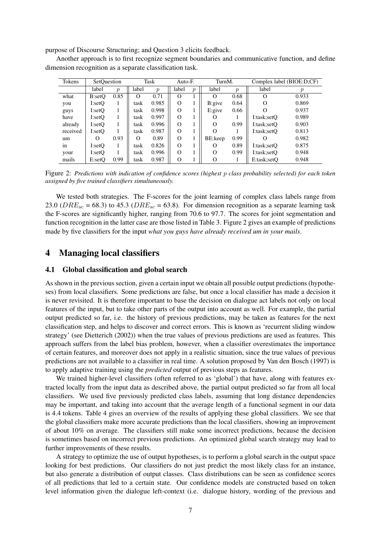purpose of Discourse Structuring; and Question 3 elicits feedback.

Another approach is to first recognize segment boundaries and communicative function, and define dimension recognition as a separate classification task.

| Tokens   | SetOuestion |                  |          | Task             | Auto-F.  |                  | TurnM.   |                  | Complex label (BIOE:D;CF) |                  |
|----------|-------------|------------------|----------|------------------|----------|------------------|----------|------------------|---------------------------|------------------|
|          | label       | $\boldsymbol{p}$ | label    | $\boldsymbol{p}$ | label    | $\boldsymbol{p}$ | label    | $\boldsymbol{p}$ | label                     | $\boldsymbol{v}$ |
| what     | B:setO      | 0.85             | $\Omega$ | 0.71             | $\Omega$ |                  | $\Omega$ | 0.68             | $\Omega$                  | 0.933            |
| you      | I:setO      |                  | task     | 0.985            | $\Omega$ |                  | B:give   | 0.64             | $\Omega$                  | 0.869            |
| guys     | I:setO      |                  | task     | 0.998            | $\Omega$ |                  | E: give  | 0.66             |                           | 0.937            |
| have     | I:setO      |                  | task     | 0.997            | $\Omega$ |                  | Ω        |                  | I:task;setO               | 0.989            |
| already  | I:setO      |                  | task     | 0.996            | $\Omega$ |                  | $\Omega$ | 0.99             | I:task;setO               | 0.903            |
| received | I:setO      |                  | task     | 0.987            | $\Omega$ |                  | $\Omega$ |                  | I:task;setO               | 0.813            |
| um       | $\Omega$    | 0.93             | $\Omega$ | 0.89             | $\Omega$ |                  | BE:keep  | 0.99             |                           | 0.982            |
| in       | I:setQ      |                  | task     | 0.826            | $\Omega$ |                  | O        | 0.89             | I:task;setO               | 0.875            |
| your     | I:setO      |                  | task     | 0.996            | $\Omega$ |                  | O        | 0.99             | I:task;setO               | 0.948            |
| mails    | E:set       | 0.99             | task     | 0.987            | $\Omega$ |                  | O        |                  | E:task;setO               | 0.948            |

Figure 2: *Predictions with indication of confidence scores (highest* p *class probability selected) for each token assigned by five trained classifiers simultaneously.*

We tested both strategies. The F-scores for the joint learning of complex class labels range from 23.0 ( $DRE_{sc}$  = 68.3) to 45.3 ( $DRE_{sc}$  = 63.8). For dimension recognition as a separate learning task the F-scores are significantly higher, ranging from 70.6 to 97.7. The scores for joint segmentation and function recognition in the latter case are those listed in Table 3. Figure 2 gives an example of predictions made by five classifiers for the input *what you guys have already received um in your mails*.

## 4 Managing local classifiers

#### 4.1 Global classification and global search

As shown in the previous section, given a certain input we obtain all possible output predictions (hypotheses) from local classifiers. Some predictions are false, but once a local classifier has made a decision it is never revisited. It is therefore important to base the decision on dialogue act labels not only on local features of the input, but to take other parts of the output into account as well. For example, the partial output predicted so far, i.e. the history of previous predictions, may be taken as features for the next classification step, and helps to discover and correct errors. This is known as 'recurrent sliding window strategy' (see Dietterich (2002)) when the true values of previous predictions are used as features. This approach suffers from the label bias problem, however, when a classifier overestimates the importance of certain features, and moreover does not apply in a realistic situation, since the true values of previous predictions are not available to a classifier in real time. A solution proposed by Van den Bosch (1997) is to apply adaptive training using the *predicted* output of previous steps as features.

We trained higher-level classifiers (often referred to as 'global') that have, along with features extracted locally from the input data as described above, the partial output predicted so far from all local classifiers. We used five previously predicted class labels, assuming that long distance dependencies may be important, and taking into account that the average length of a functional segment in our data is 4.4 tokens. Table 4 gives an overview of the results of applying these global classifiers. We see that the global classifiers make more accurate predictions than the local classifiers, showing an improvement of about 10% on average. The classifiers still make some incorrect predictions, because the decision is sometimes based on incorrect previous predictions. An optimized global search strategy may lead to further improvements of these results.

A strategy to optimize the use of output hypotheses, is to perform a global search in the output space looking for best predictions. Our classifiers do not just predict the most likely class for an instance, but also generate a distribution of output classes. Class distributions can be seen as confidence scores of all predictions that led to a certain state. Our confidence models are constructed based on token level information given the dialogue left-context (i.e. dialogue history, wording of the previous and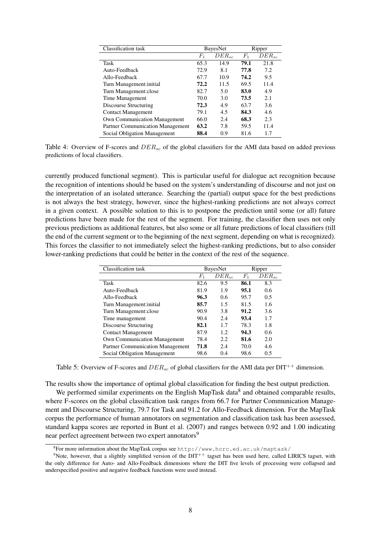| Classification task                 |                | BayesNet   |             | Ripper     |
|-------------------------------------|----------------|------------|-------------|------------|
|                                     | $\mathit{F}_1$ | $DER_{sc}$ | $F_{\rm 1}$ | $DER_{sc}$ |
| Task                                | 65.3           | 14.9       | 79.1        | 21.8       |
| Auto-Feedback                       | 72.9           | 8.1        | 77.8        | 7.2        |
| Allo-Feedback                       | 67.7           | 10.9       | 74.2        | 9.5        |
| Turn Management: initial            | 72.2           | 11.5       | 69.5        | 11.4       |
| Turn Management: close              | 82.7           | 5.0        | 83.0        | 4.9        |
| Time Management                     | 70.0           | 3.0        | 73.5        | 2.1        |
| Discourse Structuring               | 72.3           | 4.9        | 63.7        | 3.6        |
| <b>Contact Management</b>           | 79.1           | 4.5        | 84.3        | 4.6        |
| <b>Own Communication Management</b> | 66.0           | 2.4        | 68.3        | 2.3        |
| Partner Communication Management    | 63.2           | 7.8        | 59.5        | 11.4       |
| Social Obligation Management        | 88.4           | 0.9        | 81.6        | 1.7        |

Table 4: Overview of F-scores and  $DER_{sc}$  of the global classifiers for the AMI data based on added previous predictions of local classifiers.

currently produced functional segment). This is particular useful for dialogue act recognition because the recognition of intentions should be based on the system's understanding of discourse and not just on the interpretation of an isolated utterance. Searching the (partial) output space for the best predictions is not always the best strategy, however, since the highest-ranking predictions are not always correct in a given context. A possible solution to this is to postpone the prediction until some (or all) future predictions have been made for the rest of the segment. For training, the classifier then uses not only previous predictions as additional features, but also some or all future predictions of local classifiers (till the end of the current segment or to the beginning of the next segment, depending on what is recognized). This forces the classifier to not immediately select the highest-ranking predictions, but to also consider lower-ranking predictions that could be better in the context of the rest of the sequence.

| Classification task                     |       | <b>BayesNet</b> | Ripper |            |  |
|-----------------------------------------|-------|-----------------|--------|------------|--|
|                                         | $F_1$ | $DER_{sc}$      | $F_1$  | $DER_{sc}$ |  |
| Task                                    | 82.6  | 9.5             | 86.1   | 8.3        |  |
| Auto-Feedback                           | 81.9  | 1.9             | 95.1   | 0.6        |  |
| Allo-Feedback                           | 96.3  | 0.6             | 95.7   | 0.5        |  |
| Turn Management: initial                | 85.7  | 1.5             | 81.5   | 1.6        |  |
| Turn Management: close                  | 90.9  | 3.8             | 91.2   | 3.6        |  |
| Time management                         | 90.4  | 2.4             | 93.4   | 1.7        |  |
| Discourse Structuring                   | 82.1  | 1.7             | 78.3   | 1.8        |  |
| <b>Contact Management</b>               | 87.9  | 1.2.            | 94.3   | 0.6        |  |
| <b>Own Communication Management</b>     | 78.4  | 2.2.            | 81.6   | 2.0        |  |
| <b>Partner Communication Management</b> | 71.8  | 2.4             | 70.0   | 4.6        |  |
| Social Obligation Management            | 98.6  | 0.4             | 98.6   | 0.5        |  |

Table 5: Overview of F-scores and  $DER_{sc}$  of global classifiers for the AMI data per DIT<sup>++</sup> dimension.

The results show the importance of optimal global classification for finding the best output prediction.

We performed similar experiments on the English MapTask data<sup>8</sup> and obtained comparable results, where F-scores on the global classification task ranges from 66.7 for Partner Communication Management and Discourse Structuring, 79.7 for Task and 91.2 for Allo-Feedback dimension. For the MapTask corpus the performance of human annotators on segmentation and classification task has been assessed, standard kappa scores are reported in Bunt et al. (2007) and ranges between 0.92 and 1.00 indicating near perfect agreement between two expert annotators<sup>9</sup>

 $^8$ For more information about the MapTask corpus see http://www.hcrc.ed.ac.uk/maptask/

<sup>&</sup>lt;sup>9</sup>Note, however, that a slightly simplified version of the  $DT^{++}$  tagset has been used here, called LIRICS tagset, with the only difference for Auto- and Allo-Feedback dimensions where the DIT five levels of processing were collapsed and underspecified positive and negative feedback functions were used instead.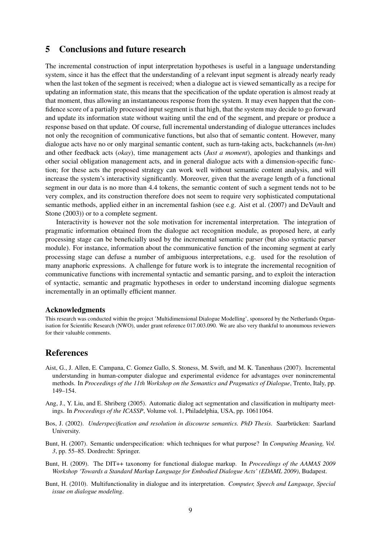## 5 Conclusions and future research

The incremental construction of input interpretation hypotheses is useful in a language understanding system, since it has the effect that the understanding of a relevant input segment is already nearly ready when the last token of the segment is received; when a dialogue act is viewed semantically as a recipe for updating an information state, this means that the specification of the update operation is almost ready at that moment, thus allowing an instantaneous response from the system. It may even happen that the confidence score of a partially processed input segment is that high, that the system may decide to go forward and update its information state without waiting until the end of the segment, and prepare or produce a response based on that update. Of course, full incremental understanding of dialogue utterances includes not only the recognition of communicative functions, but also that of semantic content. However, many dialogue acts have no or only marginal semantic content, such as turn-taking acts, backchannels (*m-hm*) and other feedback acts (*okay*), time management acts (*Just a moment*), apologies and thankings and other social obligation management acts, and in general dialogue acts with a dimension-specific function; for these acts the proposed strategy can work well without semantic content analysis, and will increase the system's interactivity significantly. Moreover, given that the average length of a functional segment in our data is no more than 4.4 tokens, the semantic content of such a segment tends not to be very complex, and its construction therefore does not seem to require very sophisticated computational semantic methods, applied either in an incremental fashion (see e.g. Aist et al. (2007) and DeVault and Stone (2003)) or to a complete segment.

Interactivity is however not the sole motivation for incremental interpretation. The integration of pragmatic information obtained from the dialogue act recognition module, as proposed here, at early processing stage can be beneficially used by the incremental semantic parser (but also syntactic parser module). For instance, information about the communicative function of the incoming segment at early processing stage can defuse a number of ambiguous interpretations, e.g. used for the resolution of many anaphoric expressions. A challenge for future work is to integrate the incremental recognition of communicative functions with incremental syntactic and semantic parsing, and to exploit the interaction of syntactic, semantic and pragmatic hypotheses in order to understand incoming dialogue segments incrementally in an optimally efficient manner.

#### Acknowledgments

This research was conducted within the project 'Multidimensional Dialogue Modelling', sponsored by the Netherlands Organisation for Scientific Research (NWO), under grant reference 017.003.090. We are also very thankful to anonumous reviewers for their valuable comments.

### References

- Aist, G., J. Allen, E. Campana, C. Gomez Gallo, S. Stoness, M. Swift, and M. K. Tanenhaus (2007). Incremental understanding in human-computer dialogue and experimental evidence for advantages over nonincremental methods. In *Proceedings of the 11th Workshop on the Semantics and Pragmatics of Dialogue*, Trento, Italy, pp. 149–154.
- Ang, J., Y. Liu, and E. Shriberg (2005). Automatic dialog act segmentation and classification in multiparty meetings. In *Proceedings of the ICASSP*, Volume vol. 1, Philadelphia, USA, pp. 10611064.
- Bos, J. (2002). *Underspecification and resolution in discourse semantics. PhD Thesis.* Saarbrücken: Saarland University.
- Bunt, H. (2007). Semantic underspecification: which techniques for what purpose? In *Computing Meaning, Vol. 3*, pp. 55–85. Dordrecht: Springer.
- Bunt, H. (2009). The DIT++ taxonomy for functional dialogue markup. In *Proceedings of the AAMAS 2009 Workshop 'Towards a Standard Markup Language for Embodied Dialogue Acts' (EDAML 2009)*, Budapest.
- Bunt, H. (2010). Multifunctionality in dialogue and its interpretation. *Computer, Speech and Language, Special issue on dialogue modeling*.